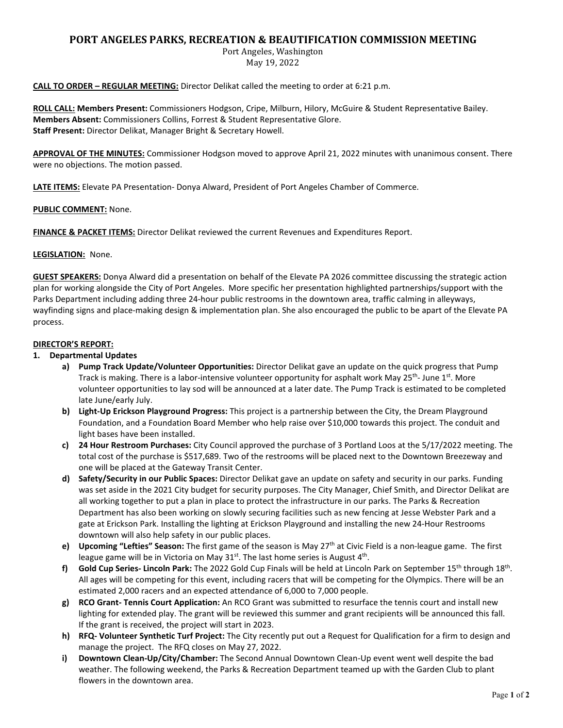# **PORT ANGELES PARKS, RECREATION & BEAUTIFICATION COMMISSION MEETING**

Port Angeles, Washington May 19, 2022

**CALL TO ORDER – REGULAR MEETING:** Director Delikat called the meeting to order at 6:21 p.m.

**ROLL CALL: Members Present:** Commissioners Hodgson, Cripe, Milburn, Hilory, McGuire & Student Representative Bailey. **Members Absent:** Commissioners Collins, Forrest & Student Representative Glore. **Staff Present:** Director Delikat, Manager Bright & Secretary Howell.

**APPROVAL OF THE MINUTES:** Commissioner Hodgson moved to approve April 21, 2022 minutes with unanimous consent. There were no objections. The motion passed.

**LATE ITEMS:** Elevate PA Presentation- Donya Alward, President of Port Angeles Chamber of Commerce.

# **PUBLIC COMMENT:** None.

**FINANCE & PACKET ITEMS:** Director Delikat reviewed the current Revenues and Expenditures Report.

### **LEGISLATION:** None.

**GUEST SPEAKERS:** Donya Alward did a presentation on behalf of the Elevate PA 2026 committee discussing the strategic action plan for working alongside the City of Port Angeles. More specific her presentation highlighted partnerships/support with the Parks Department including adding three 24-hour public restrooms in the downtown area, traffic calming in alleyways, wayfinding signs and place-making design & implementation plan. She also encouraged the public to be apart of the Elevate PA process.

### **DIRECTOR'S REPORT:**

# **1. Departmental Updates**

- **a) Pump Track Update/Volunteer Opportunities:** Director Delikat gave an update on the quick progress that Pump Track is making. There is a labor-intensive volunteer opportunity for asphalt work May  $25^{th}$ - June  $1^{st}$ . More volunteer opportunities to lay sod will be announced at a later date. The Pump Track is estimated to be completed late June/early July.
- **b) Light-Up Erickson Playground Progress:** This project is a partnership between the City, the Dream Playground Foundation, and a Foundation Board Member who help raise over \$10,000 towards this project. The conduit and light bases have been installed.
- **c) 24 Hour Restroom Purchases:** City Council approved the purchase of 3 Portland Loos at the 5/17/2022 meeting. The total cost of the purchase is \$517,689. Two of the restrooms will be placed next to the Downtown Breezeway and one will be placed at the Gateway Transit Center.
- **d) Safety/Security in our Public Spaces:** Director Delikat gave an update on safety and security in our parks. Funding was set aside in the 2021 City budget for security purposes. The City Manager, Chief Smith, and Director Delikat are all working together to put a plan in place to protect the infrastructure in our parks. The Parks & Recreation Department has also been working on slowly securing facilities such as new fencing at Jesse Webster Park and a gate at Erickson Park. Installing the lighting at Erickson Playground and installing the new 24-Hour Restrooms downtown will also help safety in our public places.
- **e) Upcoming "Lefties" Season:** The first game of the season is May 27th at Civic Field is a non-league game. The first league game will be in Victoria on May  $31<sup>st</sup>$ . The last home series is August  $4<sup>th</sup>$ .
- f) Gold Cup Series- Lincoln Park: The 2022 Gold Cup Finals will be held at Lincoln Park on September 15<sup>th</sup> through 18<sup>th</sup>. All ages will be competing for this event, including racers that will be competing for the Olympics. There will be an estimated 2,000 racers and an expected attendance of 6,000 to 7,000 people.
- **g) RCO Grant- Tennis Court Application:** An RCO Grant was submitted to resurface the tennis court and install new lighting for extended play. The grant will be reviewed this summer and grant recipients will be announced this fall. If the grant is received, the project will start in 2023.
- **h) RFQ- Volunteer Synthetic Turf Project:** The City recently put out a Request for Qualification for a firm to design and manage the project. The RFQ closes on May 27, 2022.
- **i) Downtown Clean-Up/City/Chamber:** The Second Annual Downtown Clean-Up event went well despite the bad weather. The following weekend, the Parks & Recreation Department teamed up with the Garden Club to plant flowers in the downtown area.